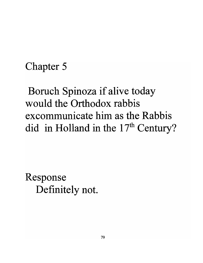## Chapter 5

Boruch Spinoza if alive today would the Orthodox rabbis excommunicate him as the Rabbis did in Holland in the  $17<sup>th</sup>$  Century?

Response Definitely not.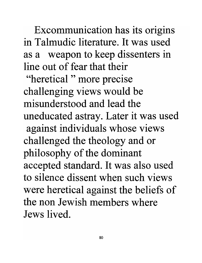Excommunication has its origins in Talmudic literature. It was used as a weapon to keep dissenters in line out of fear that their

"heretical" more precise challenging views would be misunderstood and lead the uneducated astray. Later it was used against individuals whose views challenged the theology and or philosophy of the dominant accepted standard. It was also used to silence dissent when such views were heretical against the beliefs of the non Jewish members where Jews lived.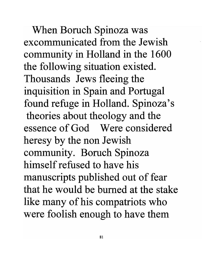When Boruch Spinoza was excommunicated from the Jewish community in Holland in the 1600 the following situation existed. Thousands Jews fleeing the inquisition in Spain and Portugal found refuge in Holland. Spinoza's theories about theology and the essence of God Were considered heresy by the non Jewish community. Boruch Spinoza himself refused to have his manuscripts published out of fear that he would be burned at the stake like many of his compatriots who were foolish enough to have them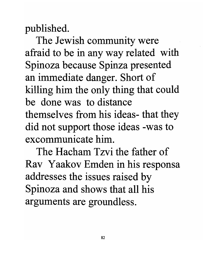published.

The Jewish community were afraid to be in any way related with Spinoza because Spinza presented an immediate danger. Short of killing him the only thing that could be done was to distance themselves from his ideas- that they did not support those ideas -was to excommunicate him.

The Hacham Tzvi the father of Rav Yaakov Emden in his responsa addresses the issues raised by Spinoza and shows that all his arguments are groundless.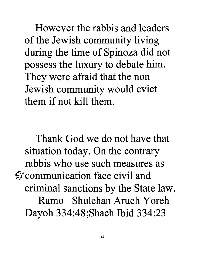However the rabbis and leaders of the Jewish community living during the time of Spinoza did not possess the luxury to debate him. They were afraid that the non Jewish community would evict them if not kill them.

Thank God we do not have that situation today. On the contrary rabbis who use such measures as  $E$ *c* communication face civil and criminal sanctions by the State law. Ramo Shulchan Aruch Yoreh Dayoh 334:48;Shach Ibid 334:23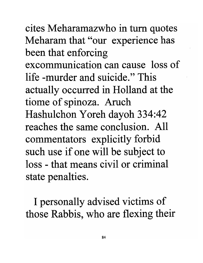cites Meharamazwho in tum quotes Meharam that "our experience has been that enforcing excommunication can cause loss of life -murder and suicide." This actually occurred in Holland at the tiome of spinoza. Aruch Hashulchon Y oreh dayoh 334:42 reaches the same conclusion. All commentators explicitly forbid such use if one will be subject to loss - that means civil or criminal state penalties.

I personally advised victims of those Rabbis, who are flexing their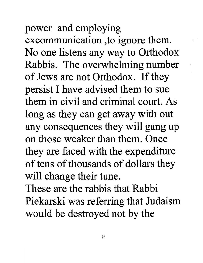## power and employing

excommunication ,to ignore them. No one listens any way to Orthodox Rabbis. The overwhelming number of Jews are not Orthodox. If they persist I have advised them to sue them in civil and criminal court. As long as they can get away with out any consequences they will gang up on those weaker than them. Once they are faced with the expenditure of tens of thousands of dollars they will change their tune.

These are the rabbis that Rabbi Piekarski was referring that Judaism would be destroyed not by the